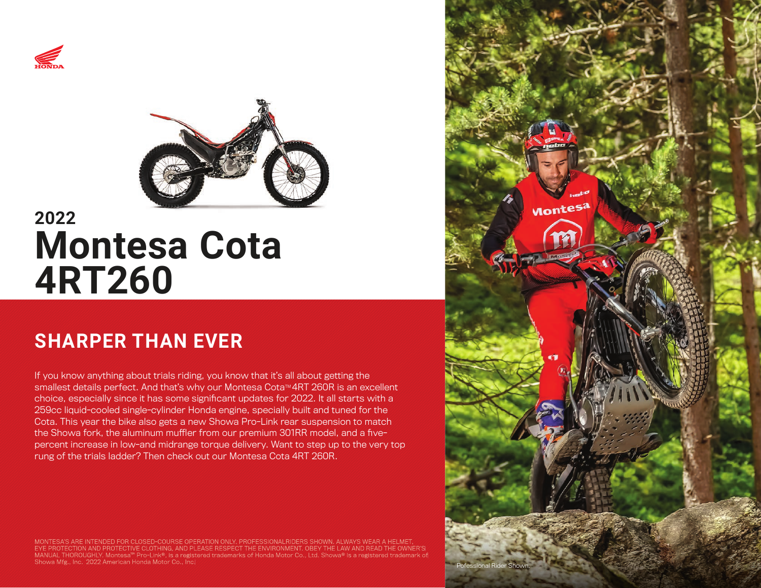



# **2022 Montesa Cota 4RT260**

# **SHARPER THAN EVER**

If you know anything about trials riding, you know that it's all about getting the smallest details perfect. And that's why our Montesa Cota™ 4RT 260R is an excellent choice, especially since it has some significant updates for 2022. It all starts with a 259cc liquid-cooled single-cylinder Honda engine, specially built and tuned for the Cota. This year the bike also gets a new Showa Pro-Link rear suspension to match the Showa fork, the aluminum muffler from our premium 301RR model, and a fivepercent increase in low-and midrange torque delivery. Want to step up to the very top rung of the trials ladder? Then check out our Montesa Cota 4RT 260R.

MONTESA'S ARE INTENDED FOR CLOSED-COURSE OPERATION ONLY. PROFESSIONALRIDERS SHOWN. ALWAYS WEAR A HELMET,<br>EYE PROTECTION AND PROTECTIVE CLOTHING, AND PLEASE RESPECT THE ENVIRONMENT. OBEY THE LAW AND READ THE OWNER'S MANUAL THOROUGHLY. Montesa™ Pro-Link®, is a registered trademarks of Honda Motor Co., Ltd. Showa® is a registered trademark of